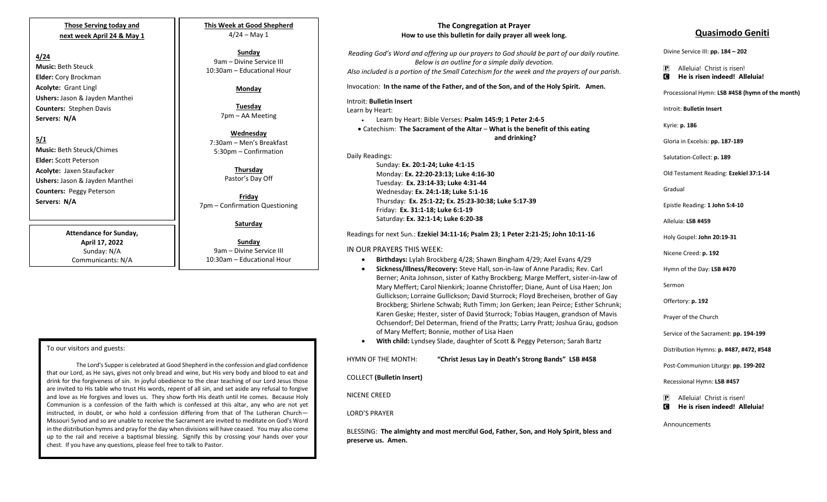## **Those Serving today and next week April 24 & May 1**

## **4/24**

**Music:** Beth Steuck **Elder:** Cory Brockman **Acolyte:** Grant Lingl **Ushers:** Jason & Jayden Manthei **Counters:** Stephen Davis **Servers: N/A**

**5/1**

**Music:** Beth Steuck/Chimes **Elder:** Scott Peterson **Acolyte:** Jaxen Staufacker **Ushers:** Jason & Jayden Manthei **Counters:** Peggy Peterson **Servers: N/A**

> **Attendance for Sunday, April 17, 2022** Sunday: N/A Communicants: N/A

**This Week at Good Shepherd**  $4/24 - May 1$ 

**Sunday**  9am – Divine Service III 10:30am – Educational Hour

## **Monday**

**Tuesday** 7pm – AA Meeting

**Wednesday** 7:30am – Men's Breakfast 5:30pm – Confirmation

> **Thursday** Pastor's Day Off

**Friday** 7pm – Confirmation Questioning

**Saturday**

**Sunday**  9am – Divine Service III 10:30am – Educational Hour

#### To our visitors and guests:

 chest. If you have any questions, please feel free to talk to Pastor. The Lord's Supper is celebrated at Good Shepherd in the confession and glad confidence that our Lord, as He says, gives not only bread and wine, but His very body and blood to eat and drink for the forgiveness of sin. In joyful obedience to the clear teaching of our Lord Jesus those are invited to His table who trust His words, repent of all sin, and set aside any refusal to forgive and love as He forgives and loves us. They show forth His death until He comes. Because Holy Communion is a confession of the faith which is confessed at this altar, any who are not yet instructed, in doubt, or who hold a confession differing from that of The Lutheran Church— Missouri Synod and so are unable to receive the Sacrament are invited to meditate on God's Word in the distribution hymns and pray for the day when divisions will have ceased. You may also come up to the rail and receive a baptismal blessing. Signify this by crossing your hands over your

## **The Congregation at Prayer How to use this bulletin for daily prayer all week long.**

*Reading God's Word and offering up our prayers to God should be part of our daily routine. Below is an outline for a simple daily devotion. Also included is a portion of the Small Catechism for the week and the prayers of our parish.*

Invocation: **In the name of the Father, and of the Son, and of the Holy Spirit. Amen.**

#### Introit: **Bulletin Insert**

Learn by Heart:

• Learn by Heart: Bible Verses: **Psalm 145:9; 1 Peter 2:4-5**

• Catechism: **The Sacrament of the Altar** – **What is the benefit of this eating and drinking?**

Daily Readings:

Sunday: **Ex. 20:1-24; Luke 4:1-15** Monday: **Ex. 22:20-23:13; Luke 4:16-30** Tuesday: **Ex. 23:14-33; Luke 4:31-44** Wednesday: **Ex. 24:1-18; Luke 5:1-16** Thursday: **Ex. 25:1-22; Ex. 25:23-30:38; Luke 5:17-39** Friday: **Ex. 31:1-18; Luke 6:1-19** Saturday: **Ex. 32:1-14; Luke 6:20-38**

Readings for next Sun.: **Ezekiel 34:11-16; Psalm 23; 1 Peter 2:21-25; John 10:11-16**

## IN OUR PRAYERS THIS WEEK:

- **Birthdays:** Lylah Brockberg 4/28; Shawn Bingham 4/29; Axel Evans 4/29
- **Sickness/Illness/Recovery:** Steve Hall, son-in-law of Anne Paradis; Rev. Carl Berner; Anita Johnson, sister of Kathy Brockberg; Marge Meffert, sister-in-law of Mary Meffert; Carol Nienkirk; Joanne Christoffer; Diane, Aunt of Lisa Haen; Jon Gullickson; Lorraine Gullickson; David Sturrock; Floyd Brecheisen, brother of Gay Brockberg; Shirlene Schwab; Ruth Timm; Jon Gerken; Jean Peirce; Esther Schrunk; Karen Geske; Hester, sister of David Sturrock; Tobias Haugen, grandson of Mavis Ochsendorf; Del Determan, friend of the Pratts; Larry Pratt; Joshua Grau, godson of Mary Meffert; Bonnie, mother of Lisa Haen
- **With child:** Lyndsey Slade, daughter of Scott & Peggy Peterson; Sarah Bartz

| HYMN OF THE MONTH:               | "Christ Jesus Lay in Death's Strong Bands" LSB #458 |
|----------------------------------|-----------------------------------------------------|
| <b>COLLECT</b> (Bulletin Insert) |                                                     |
| NICENE CREED                     |                                                     |
| <b>LORD'S PRAYER</b>             |                                                     |

BLESSING: **The almighty and most merciful God, Father, Son, and Holy Spirit, bless and preserve us. Amen.**

## **Quasimodo Geniti**

Divine Service III: **pp. 184 – 202**

- P Alleluia! Christ is risen!
- C **He is risen indeed! Alleluia!**

Processional Hymn: **LSB #458 (hymn of the month)**

Introit: **Bulletin Insert** 

Kyrie: **p. 186**

Gloria in Excelsis: **pp. 187-189**

Salutation-Collect: **p. 189**

Old Testament Reading: **Ezekiel 37:1-14**

Gradual

Epistle Reading: **1 John 5:4-10**

Alleluia: **LSB #459**

Holy Gospel: **John 20:19-31**

Nicene Creed: **p. 192**

Hymn of the Day: **LSB #470**

Sermon

Offertory: **p. 192**

Prayer of the Church

Service of the Sacrament: **pp. 194-199**

Distribution Hymns: **p. #487, #472, #548**

Post-Communion Liturgy: **pp. 199-202** 

Recessional Hymn: **LSB #457**

P Alleluia! Christ is risen! C **He is risen indeed! Alleluia!**

Announcements